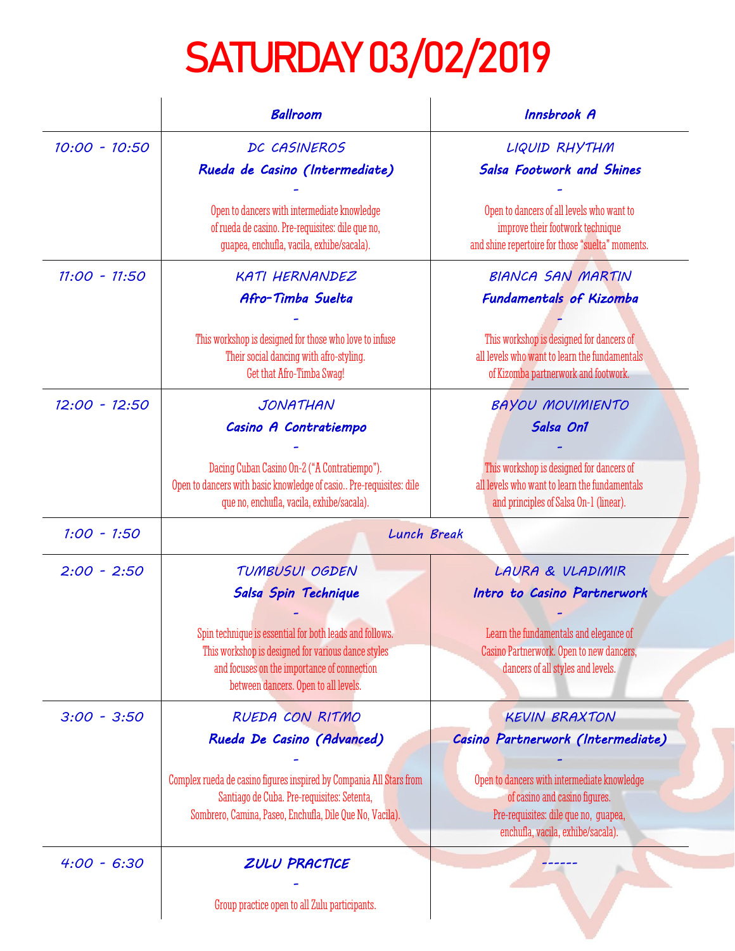## SATURDAY 03/02/2019

|                 | <b>Ballroom</b>                                                                                                                                                                                      | Innsbrook A                                                                                                                                               |
|-----------------|------------------------------------------------------------------------------------------------------------------------------------------------------------------------------------------------------|-----------------------------------------------------------------------------------------------------------------------------------------------------------|
| $10:00 - 10:50$ | DC CASINEROS<br>Rueda de Casino (Intermediate)                                                                                                                                                       | LIQUID RHYTHM<br><b>Salsa Footwork and Shines</b>                                                                                                         |
|                 | Open to dancers with intermediate knowledge<br>of rueda de casino. Pre-requisites: dile que no,<br>guapea, enchufla, vacila, exhibe/sacala).                                                         | Open to dancers of all levels who want to<br>improve their footwork technique<br>and shine repertoire for those "suelta" moments.                         |
| $11:00 - 11:50$ | <b>KATI HERNANDEZ</b><br>Afro-Timba Suelta                                                                                                                                                           | <b>BIANCA SAN MARTIN</b><br><b>Fundamentals of Kizomba</b>                                                                                                |
|                 | This workshop is designed for those who love to infuse<br>Their social dancing with afro-styling.<br>Get that Afro-Timba Swag!                                                                       | This workshop is designed for dancers of<br>all levels who want to learn the fundamentals<br>of Kizomba partnerwork and footwork.                         |
| $12:00 - 12:50$ | JONATHAN<br>Casino A Contratiempo                                                                                                                                                                    | <b>BAYOU MOVIMIENTO</b><br>Salsa On1                                                                                                                      |
|                 | Dacing Cuban Casino On-2 ("A Contratiempo").<br>Open to dancers with basic knowledge of casio Pre-requisites: dile<br>que no, enchufla, vacila, exhibe/sacala).                                      | This workshop is designed for dancers of<br>all levels who want to learn the fundamentals<br>and principles of Salsa On-1 (linear).                       |
| $1:00 - 1:50$   | Lunch Break                                                                                                                                                                                          |                                                                                                                                                           |
| $2:00 - 2:50$   | TUMBUSUI OGDEN<br>Salsa Spin Technique                                                                                                                                                               | LAURA & VLADIMIR<br>Intro to Casino Partnerwork                                                                                                           |
|                 | Spin technique is essential for both leads and follows.<br>This workshop is designed for various dance styles<br>and focuses on the importance of connection<br>between dancers. Open to all levels. | Learn the fundamentals and elegance of<br>Casino Partnerwork. Open to new dancers,<br>dancers of all styles and levels.                                   |
| $3:00 - 3:50$   | RUEDA CON RITMO                                                                                                                                                                                      | <b>KEVIN BRAXTON</b>                                                                                                                                      |
|                 | Rueda De Casino (Advanced)                                                                                                                                                                           | Casino Partnerwork (Intermediate)                                                                                                                         |
|                 | Complex rueda de casino figures inspired by Compania All Stars from<br>Santiago de Cuba. Pre-requisites: Setenta,<br>Sombrero, Camina, Paseo, Enchufla, Dile Que No, Vacila).                        | Open to dancers with intermediate knowledge<br>of casino and casino figures.<br>Pre-requisites: dile que no, quapea,<br>enchufla, vacila, exhibe/sacala). |
| $4:00 - 6:30$   | ZULU PRACTICE                                                                                                                                                                                        |                                                                                                                                                           |
|                 | Group practice open to all Zulu participants.                                                                                                                                                        |                                                                                                                                                           |